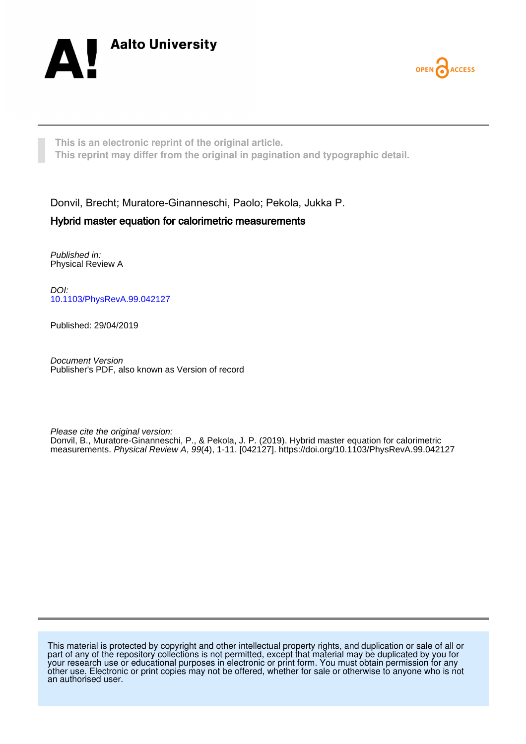



**This is an electronic reprint of the original article. This reprint may differ from the original in pagination and typographic detail.**

Donvil, Brecht; Muratore-Ginanneschi, Paolo; Pekola, Jukka P.

# Hybrid master equation for calorimetric measurements

Published in: Physical Review A

DOI: [10.1103/PhysRevA.99.042127](https://doi.org/10.1103/PhysRevA.99.042127)

Published: 29/04/2019

Document Version Publisher's PDF, also known as Version of record

Please cite the original version: Donvil, B., Muratore-Ginanneschi, P., & Pekola, J. P. (2019). Hybrid master equation for calorimetric measurements. Physical Review A, 99(4), 1-11. [042127].<https://doi.org/10.1103/PhysRevA.99.042127>

This material is protected by copyright and other intellectual property rights, and duplication or sale of all or part of any of the repository collections is not permitted, except that material may be duplicated by you for your research use or educational purposes in electronic or print form. You must obtain permission for any other use. Electronic or print copies may not be offered, whether for sale or otherwise to anyone who is not an authorised user.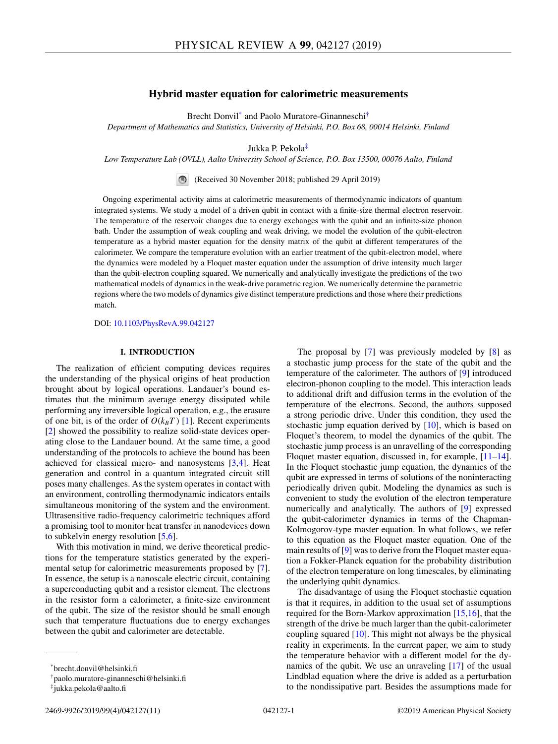# **Hybrid master equation for calorimetric measurements**

Brecht Donvil\* and Paolo Muratore-Ginanneschi†

*Department of Mathematics and Statistics, University of Helsinki, P.O. Box 68, 00014 Helsinki, Finland*

Jukka P. Pekola‡

*Low Temperature Lab (OVLL), Aalto University School of Science, P.O. Box 13500, 00076 Aalto, Finland*

(Received 30 November 2018; published 29 April 2019)

Ongoing experimental activity aims at calorimetric measurements of thermodynamic indicators of quantum integrated systems. We study a model of a driven qubit in contact with a finite-size thermal electron reservoir. The temperature of the reservoir changes due to energy exchanges with the qubit and an infinite-size phonon bath. Under the assumption of weak coupling and weak driving, we model the evolution of the qubit-electron temperature as a hybrid master equation for the density matrix of the qubit at different temperatures of the calorimeter. We compare the temperature evolution with an earlier treatment of the qubit-electron model, where the dynamics were modeled by a Floquet master equation under the assumption of drive intensity much larger than the qubit-electron coupling squared. We numerically and analytically investigate the predictions of the two mathematical models of dynamics in the weak-drive parametric region. We numerically determine the parametric regions where the two models of dynamics give distinct temperature predictions and those where their predictions match.

DOI: [10.1103/PhysRevA.99.042127](https://doi.org/10.1103/PhysRevA.99.042127)

# **I. INTRODUCTION**

The realization of efficient computing devices requires the understanding of the physical origins of heat production brought about by logical operations. Landauer's bound estimates that the minimum average energy dissipated while performing any irreversible logical operation, e.g., the erasure of one bit, is of the order of  $O(k_BT)$  [\[1\]](#page-10-0). Recent experiments [\[2\]](#page-10-0) showed the possibility to realize solid-state devices operating close to the Landauer bound. At the same time, a good understanding of the protocols to achieve the bound has been achieved for classical micro- and nanosystems [\[3,4\]](#page-10-0). Heat generation and control in a quantum integrated circuit still poses many challenges. As the system operates in contact with an environment, controlling thermodynamic indicators entails simultaneous monitoring of the system and the environment. Ultrasensitive radio-frequency calorimetric techniques afford a promising tool to monitor heat transfer in nanodevices down to subkelvin energy resolution [\[5,6\]](#page-10-0).

With this motivation in mind, we derive theoretical predictions for the temperature statistics generated by the experimental setup for calorimetric measurements proposed by [\[7\]](#page-10-0). In essence, the setup is a nanoscale electric circuit, containing a superconducting qubit and a resistor element. The electrons in the resistor form a calorimeter, a finite-size environment of the qubit. The size of the resistor should be small enough such that temperature fluctuations due to energy exchanges between the qubit and calorimeter are detectable.

The proposal by [\[7\]](#page-10-0) was previously modeled by [\[8\]](#page-10-0) as a stochastic jump process for the state of the qubit and the temperature of the calorimeter. The authors of [\[9\]](#page-10-0) introduced electron-phonon coupling to the model. This interaction leads to additional drift and diffusion terms in the evolution of the temperature of the electrons. Second, the authors supposed a strong periodic drive. Under this condition, they used the stochastic jump equation derived by [\[10\]](#page-10-0), which is based on Floquet's theorem, to model the dynamics of the qubit. The stochastic jump process is an unravelling of the corresponding Floquet master equation, discussed in, for example, [\[11–](#page-10-0)[14\]](#page-11-0). In the Floquet stochastic jump equation, the dynamics of the qubit are expressed in terms of solutions of the noninteracting periodically driven qubit. Modeling the dynamics as such is convenient to study the evolution of the electron temperature numerically and analytically. The authors of [\[9\]](#page-10-0) expressed the qubit-calorimeter dynamics in terms of the Chapman-Kolmogorov-type master equation. In what follows, we refer to this equation as the Floquet master equation. One of the main results of [\[9\]](#page-10-0) was to derive from the Floquet master equation a Fokker-Planck equation for the probability distribution of the electron temperature on long timescales, by eliminating the underlying qubit dynamics.

The disadvantage of using the Floquet stochastic equation is that it requires, in addition to the usual set of assumptions required for the Born-Markov approximation [\[15,16\]](#page-11-0), that the strength of the drive be much larger than the qubit-calorimeter coupling squared [\[10\]](#page-10-0). This might not always be the physical reality in experiments. In the current paper, we aim to study the temperature behavior with a different model for the dynamics of the qubit. We use an unraveling [\[17\]](#page-11-0) of the usual Lindblad equation where the drive is added as a perturbation to the nondissipative part. Besides the assumptions made for

<sup>\*</sup>brecht.donvil@helsinki.fi

<sup>†</sup>paolo.muratore-ginanneschi@helsinki.fi

<sup>‡</sup>jukka.pekola@aalto.fi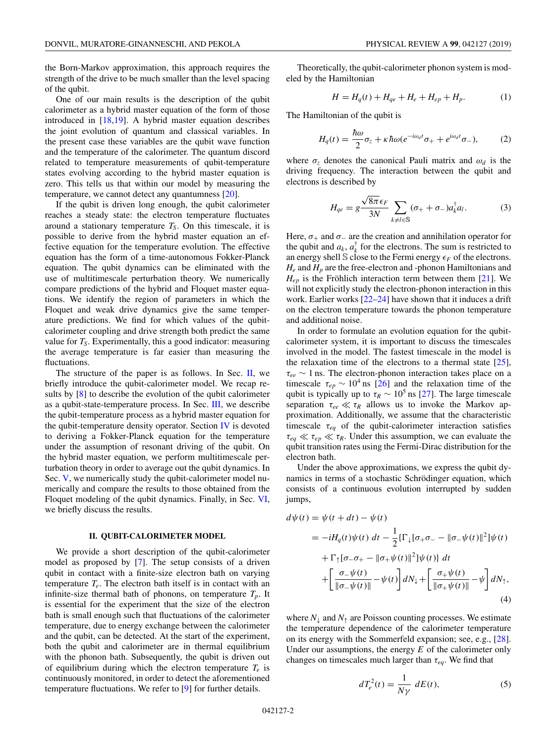<span id="page-2-0"></span>the Born-Markov approximation, this approach requires the strength of the drive to be much smaller than the level spacing of the qubit.

One of our main results is the description of the qubit calorimeter as a hybrid master equation of the form of those introduced in [\[18,19\]](#page-11-0). A hybrid master equation describes the joint evolution of quantum and classical variables. In the present case these variables are the qubit wave function and the temperature of the calorimeter. The quantum discord related to temperature measurements of qubit-temperature states evolving according to the hybrid master equation is zero. This tells us that within our model by measuring the temperature, we cannot detect any quantumness [\[20\]](#page-11-0).

If the qubit is driven long enough, the qubit calorimeter reaches a steady state: the electron temperature fluctuates around a stationary temperature  $T<sub>S</sub>$ . On this timescale, it is possible to derive from the hybrid master equation an effective equation for the temperature evolution. The effective equation has the form of a time-autonomous Fokker-Planck equation. The qubit dynamics can be eliminated with the use of multitimescale perturbation theory. We numerically compare predictions of the hybrid and Floquet master equations. We identify the region of parameters in which the Floquet and weak drive dynamics give the same temperature predictions. We find for which values of the qubitcalorimeter coupling and drive strength both predict the same value for *TS*. Experimentally, this a good indicator: measuring the average temperature is far easier than measuring the fluctuations.

The structure of the paper is as follows. In Sec.  $II$ , we briefly introduce the qubit-calorimeter model. We recap results by [\[8\]](#page-10-0) to describe the evolution of the qubit calorimeter as a qubit-state-temperature process. In Sec. [III,](#page-3-0) we describe the qubit-temperature process as a hybrid master equation for the qubit-temperature density operator. Section [IV](#page-4-0) is devoted to deriving a Fokker-Planck equation for the temperature under the assumption of resonant driving of the qubit. On the hybrid master equation, we perform multitimescale perturbation theory in order to average out the qubit dynamics. In Sec. [V,](#page-5-0) we numerically study the qubit-calorimeter model numerically and compare the results to those obtained from the Floquet modeling of the qubit dynamics. Finally, in Sec. [VI,](#page-6-0) we briefly discuss the results.

#### **II. QUBIT-CALORIMETER MODEL**

We provide a short description of the qubit-calorimeter model as proposed by [\[7\]](#page-10-0). The setup consists of a driven qubit in contact with a finite-size electron bath on varying temperature  $T_e$ . The electron bath itself is in contact with an infinite-size thermal bath of phonons, on temperature  $T_p$ . It is essential for the experiment that the size of the electron bath is small enough such that fluctuations of the calorimeter temperature, due to energy exchange between the calorimeter and the qubit, can be detected. At the start of the experiment, both the qubit and calorimeter are in thermal equilibrium with the phonon bath. Subsequently, the qubit is driven out of equilibrium during which the electron temperature  $T_e$  is continuously monitored, in order to detect the aforementioned temperature fluctuations. We refer to [\[9\]](#page-10-0) for further details.

Theoretically, the qubit-calorimeter phonon system is modeled by the Hamiltonian

$$
H = H_q(t) + H_{qe} + H_e + H_{ep} + H_p.
$$
 (1)

The Hamiltonian of the qubit is

$$
H_q(t) = \frac{\hbar\omega}{2}\sigma_z + \kappa\hbar\omega(e^{-i\omega_d t}\sigma_+ + e^{i\omega_d t}\sigma_-),\tag{2}
$$

where  $\sigma_z$  denotes the canonical Pauli matrix and  $\omega_d$  is the driving frequency. The interaction between the qubit and electrons is described by

$$
H_{qe} = g \frac{\sqrt{8\pi} \epsilon_F}{3N} \sum_{k \neq l \in \mathbb{S}} (\sigma_+ + \sigma_-) a_k^{\dagger} a_l.
$$
 (3)

Here,  $\sigma_+$  and  $\sigma_-$  are the creation and annihilation operator for the qubit and  $a_k$ ,  $a_k^{\dagger}$  for the electrons. The sum is restricted to an energy shell S close to the Fermi energy  $\epsilon_F$  of the electrons. *He* and *Hp* are the free-electron and -phonon Hamiltonians and  $H_{ep}$  is the Fröhlich interaction term between them  $[21]$ . We will not explicitly study the electron-phonon interaction in this work. Earlier works  $[22-24]$  have shown that it induces a drift on the electron temperature towards the phonon temperature and additional noise.

In order to formulate an evolution equation for the qubitcalorimeter system, it is important to discuss the timescales involved in the model. The fastest timescale in the model is the relaxation time of the electrons to a thermal state  $[25]$ , τ*ee* ∼ 1 ns. The electron-phonon interaction takes place on a timescale  $\tau_{ep} \sim 10^4$  ns [\[26\]](#page-11-0) and the relaxation time of the qubit is typically up to  $\tau_R \sim 10^5$  ns [\[27\]](#page-11-0). The large timescale separation τ*ee* τ*<sup>R</sup>* allows us to invoke the Markov approximation. Additionally, we assume that the characteristic timescale  $\tau_{eq}$  of the qubit-calorimeter interaction satisfies  $\tau_{eq} \ll \tau_{ep} \ll \tau_R$ . Under this assumption, we can evaluate the qubit transition rates using the Fermi-Dirac distribution for the electron bath.

Under the above approximations, we express the qubit dynamics in terms of a stochastic Schrödinger equation, which consists of a continuous evolution interrupted by sudden jumps,

$$
d\psi(t) = \psi(t + dt) - \psi(t)
$$
  
\n
$$
= -iH_q(t)\psi(t) dt - \frac{1}{2} \{\Gamma_{\downarrow}[\sigma_{+}\sigma_{-} - ||\sigma_{-}\psi(t)||^2] \psi(t)
$$
  
\n
$$
+ \Gamma_{\uparrow}[\sigma_{-}\sigma_{+} - ||\sigma_{+}\psi(t)||^2] \psi(t) \} dt
$$
  
\n
$$
+ \left[ \frac{\sigma_{-}\psi(t)}{||\sigma_{-}\psi(t)||} - \psi(t) \right] dN_{\downarrow} + \left[ \frac{\sigma_{+}\psi(t)}{||\sigma_{+}\psi(t)||} - \psi \right] dN_{\uparrow},
$$
\n(4)

where  $N_{\downarrow}$  and  $N_{\uparrow}$  are Poisson counting processes. We estimate the temperature dependence of the calorimeter temperature on its energy with the Sommerfeld expansion; see, e.g., [\[28\]](#page-11-0). Under our assumptions, the energy *E* of the calorimeter only changes on timescales much larger than  $\tau_{eq}$ . We find that

$$
d T_e^2(t) = \frac{1}{N\gamma} dE(t),
$$
\n(5)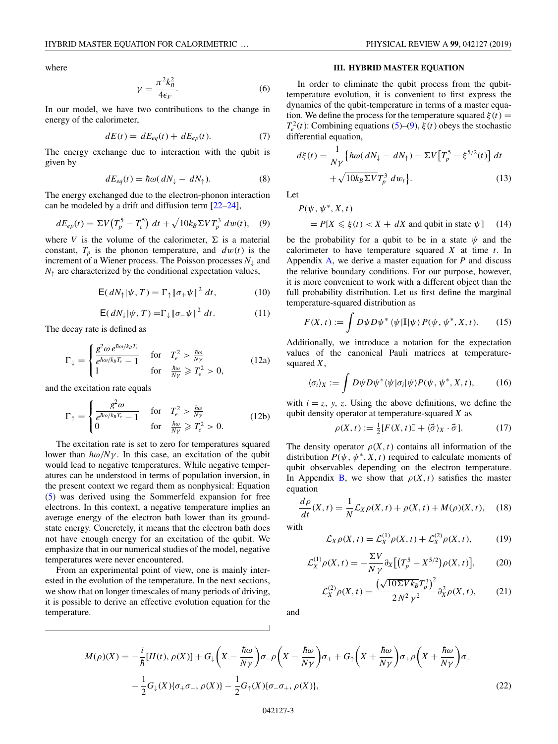$$
\gamma = \frac{\pi^2 k_B^2}{4\epsilon_F}.\tag{6}
$$

<span id="page-3-0"></span>In our model, we have two contributions to the change in energy of the calorimeter,

$$
dE(t) = dE_{eq}(t) + dE_{ep}(t). \tag{7}
$$

The energy exchange due to interaction with the qubit is given by

$$
dE_{eq}(t) = \hbar \omega (dN_{\downarrow} - dN_{\uparrow}). \tag{8}
$$

The energy exchanged due to the electron-phonon interaction can be modeled by a drift and diffusion term [\[22–24\]](#page-11-0),

$$
dE_{ep}(t) = \Sigma V \left( T_p^5 - T_e^5 \right) dt + \sqrt{10 k_B \Sigma V} T_p^3 dw(t), \quad (9)
$$

where *V* is the volume of the calorimeter,  $\Sigma$  is a material constant,  $T_p$  is the phonon temperature, and  $dw(t)$  is the increment of a Wiener process. The Poisson processes *N*<sup>↓</sup> and  $N_{\uparrow}$  are characterized by the conditional expectation values,

$$
\mathsf{E}(dN_{\uparrow}|\psi,T) = \Gamma_{\uparrow} \|\sigma_{+}\psi\|^{2} dt, \qquad (10)
$$

$$
\mathsf{E}(dN_{\downarrow}|\psi,T) = \Gamma_{\downarrow} ||\sigma_{-}\psi||^2 dt. \tag{11}
$$

The decay rate is defined as

$$
\Gamma_{\downarrow} = \begin{cases} \frac{g^2 \omega \, e^{\hbar \omega / k_B T_e}}{e^{\hbar \omega / k_B T_e} - 1} & \text{for} \quad T_e^2 > \frac{\hbar \omega}{N \gamma} \\ 1 & \text{for} \quad \frac{\hbar \omega}{N \gamma} \ge T_e^2 > 0, \end{cases} \tag{12a}
$$

and the excitation rate equals

$$
\Gamma_{\uparrow} = \begin{cases} \frac{g^2 \omega}{e^{\hbar \omega / k_B T_e} - 1} & \text{for} \quad T_e^2 > \frac{\hbar \omega}{N \gamma} \\ 0 & \text{for} \quad \frac{\hbar \omega}{N \gamma} \ge T_e^2 > 0. \end{cases} \tag{12b}
$$

The excitation rate is set to zero for temperatures squared lower than  $\hbar \omega / N \gamma$ . In this case, an excitation of the qubit would lead to negative temperatures. While negative temperatures can be understood in terms of population inversion, in the present context we regard them as nonphysical: Equation [\(5\)](#page-2-0) was derived using the Sommerfeld expansion for free electrons. In this context, a negative temperature implies an average energy of the electron bath lower than its groundstate energy. Concretely, it means that the electron bath does not have enough energy for an excitation of the qubit. We emphasize that in our numerical studies of the model, negative temperatures were never encountered.

From an experimental point of view, one is mainly interested in the evolution of the temperature. In the next sections, we show that on longer timescales of many periods of driving, it is possible to derive an effective evolution equation for the temperature.

#### **III. HYBRID MASTER EQUATION**

In order to eliminate the qubit process from the qubittemperature evolution, it is convenient to first express the dynamics of the qubit-temperature in terms of a master equation. We define the process for the temperature squared  $\xi(t)$  =  $T_e^2(t)$ : Combining equations [\(5\)](#page-2-0)–(9),  $\xi(t)$  obeys the stochastic differential equation,

$$
d\xi(t) = \frac{1}{N\gamma} \left\{ \hbar \omega (dN_{\downarrow} - dN_{\uparrow}) + \Sigma V \left[ T_p^5 - \xi^{5/2}(t) \right] dt + \sqrt{10k_B \Sigma V} T_p^3 \ dw_t \right\}.
$$
 (13)

Let

$$
P(\psi, \psi^*, X, t)
$$
  
=  $P[X \le \xi(t) < X + dX \text{ and qubit in state } \psi]$  (14)

be the probability for a qubit to be in a state  $\psi$  and the calorimeter to have temperature squared *X* at time *t*. In Appendix [A,](#page-8-0) we derive a master equation for *P* and discuss the relative boundary conditions. For our purpose, however, it is more convenient to work with a different object than the full probability distribution. Let us first define the marginal temperature-squared distribution as

$$
F(X,t) := \int D\psi D\psi^* \left\langle \psi | \mathbb{I} | \psi \right\rangle P(\psi, \psi^*, X, t). \tag{15}
$$

Additionally, we introduce a notation for the expectation values of the canonical Pauli matrices at temperaturesquared *X*,

$$
\langle \sigma_i \rangle_X := \int D\psi D\psi^* \langle \psi | \sigma_i | \psi \rangle P(\psi, \psi^*, X, t), \qquad (16)
$$

with  $i = z$ ,  $y$ ,  $z$ . Using the above definitions, we define the qubit density operator at temperature-squared *X* as

$$
\rho(X, t) := \frac{1}{2} [F(X, t) \mathbb{I} + \langle \vec{\sigma} \rangle_X \cdot \vec{\sigma}]. \tag{17}
$$

The density operator  $\rho(X, t)$  contains all information of the distribution  $P(\psi, \psi^*, X, t)$  required to calculate moments of qubit observables depending on the electron temperature. In Appendix [B,](#page-8-0) we show that  $\rho(X, t)$  satisfies the master equation

$$
\frac{d\rho}{dt}(X,t) = \frac{1}{N}\mathcal{L}_X\rho(X,t) + \rho(X,t) + M(\rho)(X,t), \quad (18)
$$

with

$$
\mathcal{L}_X \rho(X, t) = \mathcal{L}_X^{(1)} \rho(X, t) + \mathcal{L}_X^{(2)} \rho(X, t),
$$
 (19)

$$
\mathcal{L}_X^{(1)} \rho(X, t) = -\frac{\Sigma V}{N \gamma} \partial_X \big[ \big( T_p^5 - X^{5/2} \big) \rho(X, t) \big],\tag{20}
$$

$$
\mathcal{L}_X^{(2)} \rho(X, t) = \frac{\left(\sqrt{10 \Sigma V k_B} T_p^3\right)^2}{2 N^2 \gamma^2} \partial_X^2 \rho(X, t),\tag{21}
$$

and

$$
M(\rho)(X) = -\frac{i}{\hbar}[H(t), \rho(X)] + G_{\downarrow}\left(X - \frac{\hbar\omega}{N\gamma}\right)\sigma_{-\rho}\left(X - \frac{\hbar\omega}{N\gamma}\right)\sigma_{+} + G_{\uparrow}\left(X + \frac{\hbar\omega}{N\gamma}\right)\sigma_{+\rho}\left(X + \frac{\hbar\omega}{N\gamma}\right)\sigma_{-} -\frac{1}{2}G_{\downarrow}(X)\{\sigma_{+}\sigma_{-}, \rho(X)\} - \frac{1}{2}G_{\uparrow}(X)\{\sigma_{-\sigma_{+}}, \rho(X)\},
$$
\n(22)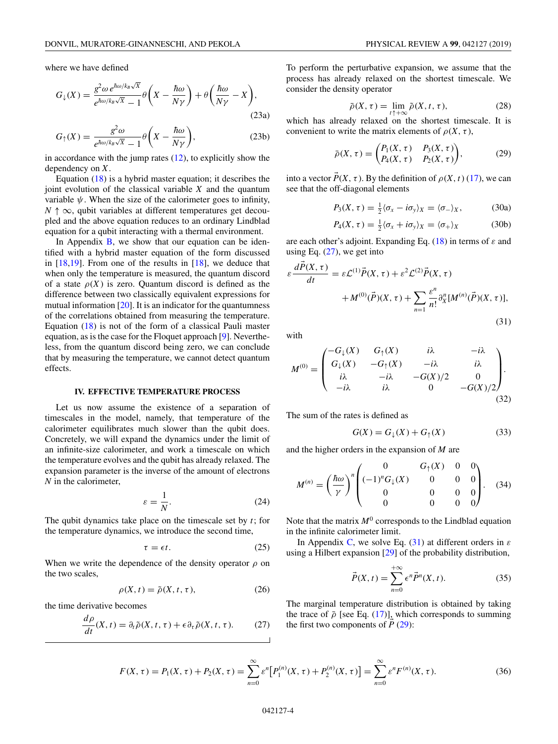<span id="page-4-0"></span>where we have defined

$$
G_{\downarrow}(X) = \frac{g^2 \omega e^{\hbar \omega / k_B \sqrt{X}}}{e^{\hbar \omega / k_B \sqrt{X}} - 1} \theta \left( X - \frac{\hbar \omega}{N \gamma} \right) + \theta \left( \frac{\hbar \omega}{N \gamma} - X \right),\tag{23a}
$$

$$
G_{\uparrow}(X) = \frac{g^2 \omega}{e^{\hbar \omega / k_B \sqrt{X}} - 1} \theta \left( X - \frac{\hbar \omega}{N \gamma} \right),\tag{23b}
$$

in accordance with the jump rates  $(12)$ , to explicitly show the dependency on *X*.

Equation  $(18)$  is a hybrid master equation; it describes the joint evolution of the classical variable *X* and the quantum variable  $\psi$ . When the size of the calorimeter goes to infinity,  $N \uparrow \infty$ , qubit variables at different temperatures get decoupled and the above equation reduces to an ordinary Lindblad equation for a qubit interacting with a thermal environment.

In Appendix  $B$ , we show that our equation can be identified with a hybrid master equation of the form discussed in  $[18,19]$ . From one of the results in  $[18]$ , we deduce that when only the temperature is measured, the quantum discord of a state  $\rho(X)$  is zero. Quantum discord is defined as the difference between two classically equivalent expressions for mutual information [\[20\]](#page-11-0). It is an indicator for the quantumness of the correlations obtained from measuring the temperature. Equation [\(18\)](#page-3-0) is not of the form of a classical Pauli master equation, as is the case for the Floquet approach [\[9\]](#page-10-0). Nevertheless, from the quantum discord being zero, we can conclude that by measuring the temperature, we cannot detect quantum effects.

## **IV. EFFECTIVE TEMPERATURE PROCESS**

Let us now assume the existence of a separation of timescales in the model, namely, that temperature of the calorimeter equilibrates much slower than the qubit does. Concretely, we will expand the dynamics under the limit of an infinite-size calorimeter, and work a timescale on which the temperature evolves and the qubit has already relaxed. The expansion parameter is the inverse of the amount of electrons *N* in the calorimeter,

$$
\varepsilon = \frac{1}{N}.\tag{24}
$$

The qubit dynamics take place on the timescale set by *t*; for the temperature dynamics, we introduce the second time,

$$
\tau = \epsilon t. \tag{25}
$$

When we write the dependence of the density operator  $\rho$  on the two scales,

$$
\rho(X, t) = \tilde{\rho}(X, t, \tau), \qquad (26)
$$

the time derivative becomes

$$
\frac{d\rho}{dt}(X,t) = \partial_t \tilde{\rho}(X,t,\tau) + \epsilon \partial_\tau \tilde{\rho}(X,t,\tau). \tag{27}
$$

To perform the perturbative expansion, we assume that the process has already relaxed on the shortest timescale. We consider the density operator

$$
\bar{\rho}(X,\tau) = \lim_{t \uparrow +\infty} \tilde{\rho}(X,t,\tau),\tag{28}
$$

which has already relaxed on the shortest timescale. It is convenient to write the matrix elements of  $\rho(X, \tau)$ ,

$$
\bar{\rho}(X,\tau) = \begin{pmatrix} P_1(X,\tau) & P_3(X,\tau) \\ P_4(X,\tau) & P_2(X,\tau) \end{pmatrix},
$$
 (29)

into a vector  $\overline{P}(X, \tau)$ . By the definition of  $\rho(X, t)$  [\(17\)](#page-3-0), we can see that the off-diagonal elements

$$
P_3(X,\tau)=\tfrac{1}{2}\langle\sigma_x-i\sigma_y\rangle_X=\langle\sigma_-\rangle_X,\hspace{1cm}(30a)
$$

$$
P_4(X,\tau) = \frac{1}{2} \langle \sigma_x + i\sigma_y \rangle_X = \langle \sigma_+ \rangle_X \tag{30b}
$$

are each other's adjoint. Expanding Eq. [\(18\)](#page-3-0) in terms of  $\varepsilon$  and using Eq.  $(27)$ , we get into

$$
\varepsilon \frac{d\vec{P}(X,\tau)}{dt} = \varepsilon \mathcal{L}^{(1)} \vec{P}(X,\tau) + \varepsilon^2 \mathcal{L}^{(2)} \vec{P}(X,\tau)
$$

$$
+ M^{(0)}(\vec{P})(X,\tau) + \sum_{n=1}^{\infty} \frac{\varepsilon^n}{n!} \partial_X^n [M^{(n)}(\vec{P})(X,\tau)],
$$
(31)

with

$$
M^{(0)} = \begin{pmatrix} -G_{\downarrow}(X) & G_{\uparrow}(X) & i\lambda & -i\lambda \\ G_{\downarrow}(X) & -G_{\uparrow}(X) & -i\lambda & i\lambda \\ i\lambda & -i\lambda & -G(X)/2 & 0 \\ -i\lambda & i\lambda & 0 & -G(X)/2 \end{pmatrix}.
$$
\n(32)

The sum of the rates is defined as

$$
G(X) = G_{\downarrow}(X) + G_{\uparrow}(X) \tag{33}
$$

and the higher orders in the expansion of *M* are

$$
M^{(n)} = \left(\frac{\hbar\omega}{\gamma}\right)^n \begin{pmatrix} 0 & G_{\uparrow}(X) & 0 & 0 \\ (-1)^n G_{\downarrow}(X) & 0 & 0 & 0 \\ 0 & 0 & 0 & 0 \\ 0 & 0 & 0 & 0 \end{pmatrix}.
$$
 (34)

Note that the matrix  $M^0$  corresponds to the Lindblad equation in the infinite calorimeter limit.

In Appendix [C,](#page-10-0) we solve Eq. (31) at different orders in  $\varepsilon$ using a Hilbert expansion [\[29\]](#page-11-0) of the probability distribution,

$$
\vec{P}(X,t) = \sum_{n=0}^{+\infty} \epsilon^n \vec{P}^n(X,t).
$$
 (35)

The marginal temperature distribution is obtained by taking the trace of  $\bar{\rho}$  [see Eq. [\(17\)](#page-3-0)], which corresponds to summing the first two components of  $\vec{P}$  (29):

$$
F(X,\tau) = P_1(X,\tau) + P_2(X,\tau) = \sum_{n=0}^{\infty} \varepsilon^n \big[ P_1^{(n)}(X,\tau) + P_2^{(n)}(X,\tau) \big] = \sum_{n=0}^{\infty} \varepsilon^n F^{(n)}(X,\tau). \tag{36}
$$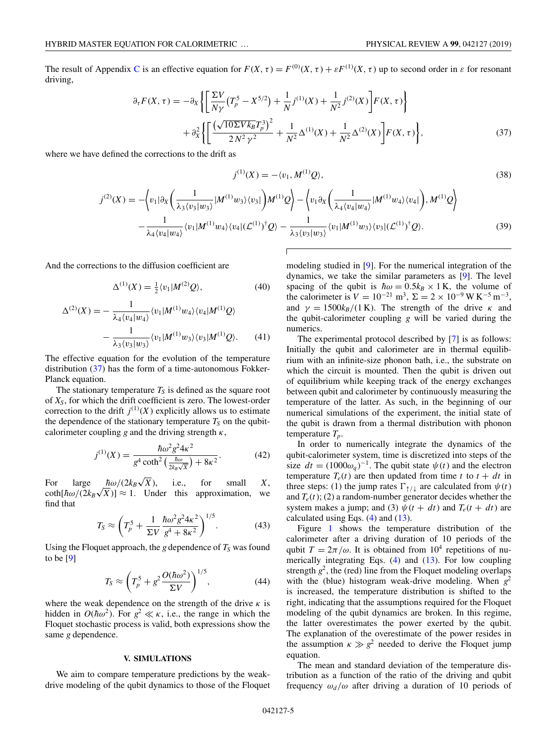<span id="page-5-0"></span>The result of Appendix [C](#page-10-0) is an effective equation for  $F(X, \tau) = F^{(0)}(X, \tau) + \varepsilon F^{(1)}(X, \tau)$  up to second order in  $\varepsilon$  for resonant driving,

$$
\partial_{\tau} F(X,\tau) = -\partial_{X} \left\{ \left[ \frac{\Sigma V}{N\gamma} \left( T_{p}^{5} - X^{5/2} \right) + \frac{1}{N} j^{(1)}(X) + \frac{1}{N^{2}} j^{(2)}(X) \right] F(X,\tau) \right\} + \partial_{X}^{2} \left\{ \left[ \frac{\left( \sqrt{10\Sigma V k_{B}} T_{p}^{3} \right)^{2}}{2 N^{2} \gamma^{2}} + \frac{1}{N^{2}} \Delta^{(1)}(X) + \frac{1}{N^{2}} \Delta^{(2)}(X) \right] F(X,\tau) \right\},
$$
(37)

where we have defined the corrections to the drift as

$$
j^{(1)}(X) = -\langle v_1, M^{(1)}Q \rangle,\tag{38}
$$

$$
j^{(2)}(X) = -\left\langle v_1 | \partial_X \left( \frac{1}{\lambda_3 \langle v_3 | w_3 \rangle} |M^{(1)} w_3 \rangle \langle v_3| \right) M^{(1)} Q \right\rangle - \left\langle v_1 \partial_X \left( \frac{1}{\lambda_4 \langle v_4 | w_4 \rangle} |M^{(1)} w_4 \rangle \langle v_4| \right), M^{(1)} Q \right\rangle -\frac{1}{\lambda_4 \langle v_4 | w_4 \rangle} \left\langle v_1 |M^{(1)} w_4 \rangle \langle v_4 | (\mathcal{L}^{(1)})^\dagger Q \right\rangle - \frac{1}{\lambda_3 \langle v_3 | w_3 \rangle} \left\langle v_1 |M^{(1)} w_3 \rangle \langle v_3 | (\mathcal{L}^{(1)})^\dagger Q \right\rangle.
$$
(39)

And the corrections to the diffusion coefficient are

$$
\Delta^{(1)}(X) = \frac{1}{2} \langle v_1 | M^{(2)} \mathcal{Q} \rangle, \tag{40}
$$

$$
\Delta^{(2)}(X) = -\frac{1}{\lambda_4 \langle v_4 | w_4 \rangle} \langle v_1 | M^{(1)} w_4 \rangle \langle v_4 | M^{(1)} Q \rangle -\frac{1}{\lambda_3 \langle v_3 | w_3 \rangle} \langle v_1 | M^{(1)} w_3 \rangle \langle v_3 | M^{(1)} Q \rangle.
$$
 (41)

The effective equation for the evolution of the temperature distribution (37) has the form of a time-autonomous Fokker-Planck equation.

The stationary temperature  $T<sub>S</sub>$  is defined as the square root of *XS*, for which the drift coefficient is zero. The lowest-order correction to the drift  $j^{(1)}(X)$  explicitly allows us to estimate the dependence of the stationary temperature  $T_S$  on the qubitcalorimeter coupling *g* and the driving strength  $\kappa$ ,

$$
j^{(1)}(X) = \frac{\hbar \omega^2 g^2 4\kappa^2}{g^4 \coth^2 \left(\frac{\hbar \omega}{2k_B \sqrt{X}}\right) + 8\kappa^2}.
$$
 (42)

For large  $\hbar \omega/(2k_B\sqrt{X})$ ,  $\sqrt{X}$ ), i.e., for small *X*, For large  $h\omega/(2k_B\sqrt{x})$ , i.e., for small *X*,  $\coth[\hbar\omega/(2k_B\sqrt{x})] \approx 1$ . Under this approximation, we find that

$$
T_S \approx \left( T_p^5 + \frac{1}{\Sigma V} \frac{\hbar \omega^2 g^2 4\kappa^2}{g^4 + 8\kappa^2} \right)^{1/5}.
$$
 (43)

Using the Floquet approach, the *g* dependence of  $T<sub>S</sub>$  was found to be [\[9\]](#page-10-0)

$$
T_S \approx \left( T_p^5 + g^2 \frac{O(\hbar \omega^2)}{\Sigma V} \right)^{1/5},\tag{44}
$$

where the weak dependence on the strength of the drive  $\kappa$  is hidden in  $O(\hbar \omega^2)$ . For  $g^2 \ll \kappa$ , i.e., the range in which the Floquet stochastic process is valid, both expressions show the same *g* dependence.

#### **V. SIMULATIONS**

We aim to compare temperature predictions by the weakdrive modeling of the qubit dynamics to those of the Floquet modeling studied in [\[9\]](#page-10-0). For the numerical integration of the dynamics, we take the similar parameters as [\[9\]](#page-10-0). The level spacing of the qubit is  $\hbar \omega = 0.5 k_B \times 1 \text{ K}$ , the volume of the calorimeter is  $V = 10^{-21}$  m<sup>3</sup>,  $\Sigma = 2 \times 10^{-9}$  W K<sup>-5</sup> m<sup>-3</sup>, and  $\gamma = 1500k_B/(1 \text{ K})$ . The strength of the drive  $\kappa$  and the qubit-calorimeter coupling *g* will be varied during the numerics.

The experimental protocol described by [\[7\]](#page-10-0) is as follows: Initially the qubit and calorimeter are in thermal equilibrium with an infinite-size phonon bath, i.e., the substrate on which the circuit is mounted. Then the qubit is driven out of equilibrium while keeping track of the energy exchanges between qubit and calorimeter by continuously measuring the temperature of the latter. As such, in the beginning of our numerical simulations of the experiment, the initial state of the qubit is drawn from a thermal distribution with phonon temperature *Tp*.

In order to numerically integrate the dynamics of the qubit-calorimeter system, time is discretized into steps of the size  $dt = (1000\omega_q)^{-1}$ . The qubit state  $\psi(t)$  and the electron temperature  $T_e(t)$  are then updated from time *t* to  $t + dt$  in three steps: (1) the jump rates  $\Gamma_{\uparrow/\downarrow}$  are calculated from  $\psi(t)$ and  $T_e(t)$ ; (2) a random-number generator decides whether the system makes a jump; and (3)  $\psi(t + dt)$  and  $T_e(t + dt)$  are calculated using Eqs.  $(4)$  and  $(13)$ .

Figure [1](#page-6-0) shows the temperature distribution of the calorimeter after a driving duration of 10 periods of the qubit  $T = 2\pi/\omega$ . It is obtained from 10<sup>4</sup> repetitions of numerically integrating Eqs.  $(4)$  and  $(13)$ . For low coupling strength  $g^2$ , the (red) line from the Floquet modeling overlaps with the (blue) histogram weak-drive modeling. When  $g^2$ is increased, the temperature distribution is shifted to the right, indicating that the assumptions required for the Floquet modeling of the qubit dynamics are broken. In this regime, the latter overestimates the power exerted by the qubit. The explanation of the overestimate of the power resides in the assumption  $\kappa \gg g^2$  needed to derive the Floquet jump equation.

The mean and standard deviation of the temperature distribution as a function of the ratio of the driving and qubit frequency  $\omega_d/\omega$  after driving a duration of 10 periods of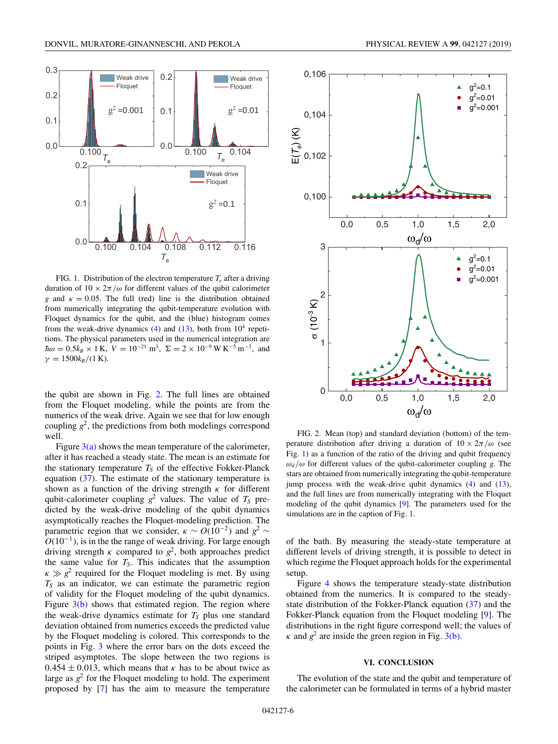<span id="page-6-0"></span>

FIG. 1. Distribution of the electron temperature  $T_e$  after a driving duration of  $10 \times 2\pi/\omega$  for different values of the qubit calorimeter *g* and  $\kappa = 0.05$ . The full (red) line is the distribution obtained from numerically integrating the qubit-temperature evolution with Floquet dynamics for the qubit, and the (blue) histogram comes from the weak-drive dynamics  $(4)$  and  $(13)$ , both from  $10<sup>4</sup>$  repetitions. The physical parameters used in the numerical integration are  $\hbar\omega = 0.5k_B \times 1 \text{ K}$ ,  $V = 10^{-21} \text{ m}^3$ ,  $\Sigma = 2 \times 10^{-9} \text{ W K}^{-5} \text{ m}^{-3}$ , and  $\gamma = 1500k_B/(1 \text{ K}).$ 

the qubit are shown in Fig. 2. The full lines are obtained from the Floquet modeling, while the points are from the numerics of the weak drive. Again we see that for low enough coupling  $g^2$ , the predictions from both modelings correspond well.

Figure  $3(a)$  shows the mean temperature of the calorimeter, after it has reached a steady state. The mean is an estimate for the stationary temperature  $T<sub>S</sub>$  of the effective Fokker-Planck equation [\(37\)](#page-5-0). The estimate of the stationary temperature is shown as a function of the driving strength  $\kappa$  for different qubit-calorimeter coupling  $g^2$  values. The value of  $T<sub>S</sub>$  predicted by the weak-drive modeling of the qubit dynamics asymptotically reaches the Floquet-modeling prediction. The parametric region that we consider,  $\kappa \sim O(10^{-2})$  and  $g^2 \sim$  $O(10^{-1})$ , is in the the range of weak driving. For large enough driving strength  $\kappa$  compared to  $g^2$ , both approaches predict the same value for  $T<sub>S</sub>$ . This indicates that the assumption  $\kappa \gg g^2$  required for the Floquet modeling is met. By using  $T<sub>S</sub>$  as an indicator, we can estimate the parametric region of validity for the Floquet modeling of the qubit dynamics. Figure  $3(b)$  shows that estimated region. The region where the weak-drive dynamics estimate for  $T<sub>S</sub>$  plus one standard deviation obtained from numerics exceeds the predicted value by the Floquet modeling is colored. This corresponds to the points in Fig. [3](#page-7-0) where the error bars on the dots exceed the striped asymptotes. The slope between the two regions is  $0.454 \pm 0.013$ , which means that  $\kappa$  has to be about twice as large as  $g^2$  for the Floquet modeling to hold. The experiment proposed by [\[7\]](#page-10-0) has the aim to measure the temperature



FIG. 2. Mean (top) and standard deviation (bottom) of the temperature distribution after driving a duration of  $10 \times 2\pi/\omega$  (see Fig. 1) as a function of the ratio of the driving and qubit frequency  $\omega_d/\omega$  for different values of the qubit-calorimeter coupling *g*. The stars are obtained from numerically integrating the qubit-temperature jump process with the weak-drive qubit dynamics [\(4\)](#page-2-0) and [\(13\)](#page-3-0), and the full lines are from numerically integrating with the Floquet modeling of the qubit dynamics [\[9\]](#page-10-0). The parameters used for the simulations are in the caption of Fig. 1.

of the bath. By measuring the steady-state temperature at different levels of driving strength, it is possible to detect in which regime the Floquet approach holds for the experimental setup.

Figure [4](#page-7-0) shows the temperature steady-state distribution obtained from the numerics. It is compared to the steadystate distribution of the Fokker-Planck equation [\(37\)](#page-5-0) and the Fokker-Planck equation from the Floquet modeling [\[9\]](#page-10-0). The distributions in the right figure correspond well; the values of  $\kappa$  and  $g^2$  are inside the green region in Fig. [3\(b\).](#page-7-0)

## **VI. CONCLUSION**

The evolution of the state and the qubit and temperature of the calorimeter can be formulated in terms of a hybrid master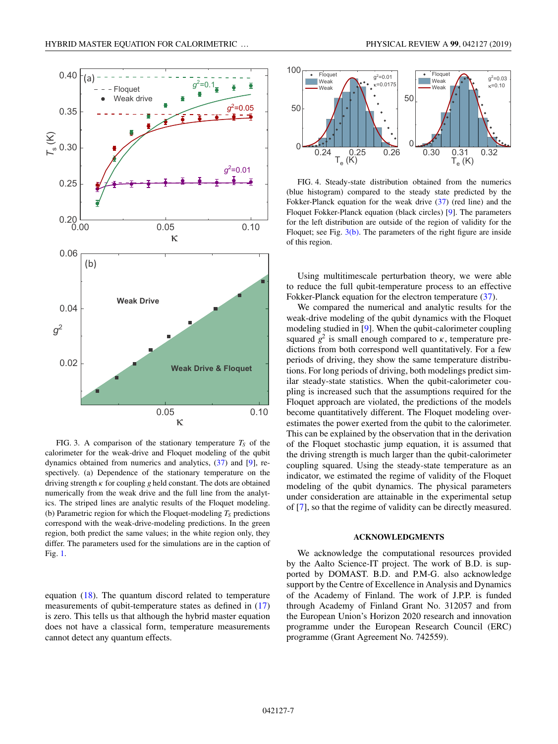<span id="page-7-0"></span>

FIG. 3. A comparison of the stationary temperature  $T<sub>S</sub>$  of the calorimeter for the weak-drive and Floquet modeling of the qubit dynamics obtained from numerics and analytics, [\(37\)](#page-5-0) and [\[9\]](#page-10-0), respectively. (a) Dependence of the stationary temperature on the driving strength  $\kappa$  for coupling g held constant. The dots are obtained numerically from the weak drive and the full line from the analytics. The striped lines are analytic results of the Floquet modeling. (b) Parametric region for which the Floquet-modeling  $T<sub>S</sub>$  predictions correspond with the weak-drive-modeling predictions. In the green region, both predict the same values; in the white region only, they differ. The parameters used for the simulations are in the caption of Fig. [1.](#page-6-0)

equation [\(18\)](#page-3-0). The quantum discord related to temperature measurements of qubit-temperature states as defined in [\(17\)](#page-3-0) is zero. This tells us that although the hybrid master equation does not have a classical form, temperature measurements cannot detect any quantum effects.



FIG. 4. Steady-state distribution obtained from the numerics (blue histogram) compared to the steady state predicted by the Fokker-Planck equation for the weak drive [\(37\)](#page-5-0) (red line) and the Floquet Fokker-Planck equation (black circles) [\[9\]](#page-10-0). The parameters for the left distribution are outside of the region of validity for the Floquet; see Fig. 3(b). The parameters of the right figure are inside of this region.

Using multitimescale perturbation theory, we were able to reduce the full qubit-temperature process to an effective Fokker-Planck equation for the electron temperature [\(37\)](#page-5-0).

We compared the numerical and analytic results for the weak-drive modeling of the qubit dynamics with the Floquet modeling studied in [\[9\]](#page-10-0). When the qubit-calorimeter coupling squared  $g^2$  is small enough compared to  $\kappa$ , temperature predictions from both correspond well quantitatively. For a few periods of driving, they show the same temperature distributions. For long periods of driving, both modelings predict similar steady-state statistics. When the qubit-calorimeter coupling is increased such that the assumptions required for the Floquet approach are violated, the predictions of the models become quantitatively different. The Floquet modeling overestimates the power exerted from the qubit to the calorimeter. This can be explained by the observation that in the derivation of the Floquet stochastic jump equation, it is assumed that the driving strength is much larger than the qubit-calorimeter coupling squared. Using the steady-state temperature as an indicator, we estimated the regime of validity of the Floquet modeling of the qubit dynamics. The physical parameters under consideration are attainable in the experimental setup of [\[7\]](#page-10-0), so that the regime of validity can be directly measured.

#### **ACKNOWLEDGMENTS**

We acknowledge the computational resources provided by the Aalto Science-IT project. The work of B.D. is supported by DOMAST. B.D. and P.M-G. also acknowledge support by the Centre of Excellence in Analysis and Dynamics of the Academy of Finland. The work of J.P.P. is funded through Academy of Finland Grant No. 312057 and from the European Union's Horizon 2020 research and innovation programme under the European Research Council (ERC) programme (Grant Agreement No. 742559).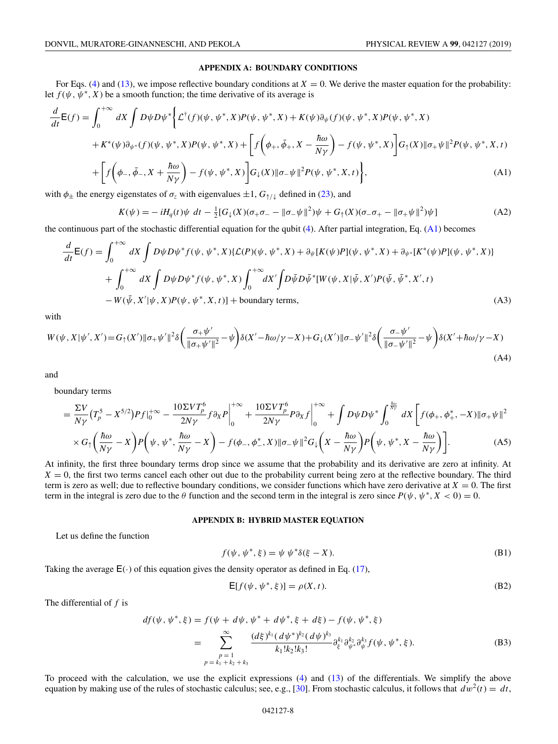# **APPENDIX A: BOUNDARY CONDITIONS**

<span id="page-8-0"></span>For Eqs. [\(4\)](#page-2-0) and [\(13\)](#page-3-0), we impose reflective boundary conditions at  $X = 0$ . We derive the master equation for the probability: let  $f(\psi, \psi^*, X)$  be a smooth function; the time derivative of its average is

$$
\frac{d}{dt}E(f) = \int_0^{+\infty} dX \int D\psi D\psi^* \Big\{ \mathcal{L}^{\dagger}(f)(\psi, \psi^*, X) P(\psi, \psi^*, X) + K(\psi) \partial_{\psi}(f)(\psi, \psi^*, X) P(\psi, \psi^*, X) \n+ K^*(\psi) \partial_{\psi^*}(f)(\psi, \psi^*, X) P(\psi, \psi^*, X) + \Big[ f(\phi_+, \bar{\phi}_+, X - \frac{\hbar \omega}{N\gamma}) - f(\psi, \psi^*, X) \Big] G_{\uparrow}(X) \|\sigma_+\psi\|^2 P(\psi, \psi^*, X, t) \n+ \Big[ f(\phi_-, \bar{\phi}_-, X + \frac{\hbar \omega}{N\gamma}) - f(\psi, \psi^*, X) \Big] G_{\downarrow}(X) \|\sigma_-\psi\|^2 P(\psi, \psi^*, X, t) \Big\},
$$
\n(A1)

with  $\phi_{\pm}$  the energy eigenstates of  $\sigma_z$  with eigenvalues  $\pm 1$ ,  $G_{\uparrow/\downarrow}$  defined in [\(23\)](#page-4-0), and

$$
K(\psi) = -iH_q(t)\psi \, dt - \frac{1}{2} [G_\downarrow(X)(\sigma_+\sigma_- - ||\sigma_-\psi||^2)\psi + G_\uparrow(X)(\sigma_-\sigma_+ - ||\sigma_+\psi||^2)\psi]
$$
(A2)

the continuous part of the stochastic differential equation for the qubit [\(4\)](#page-2-0). After partial integration, Eq. (A1) becomes

$$
\frac{d}{dt}E(f) = \int_0^{+\infty} dX \int D\psi D\psi^* f(\psi, \psi^*, X) \{ \mathcal{L}(P)(\psi, \psi^*, X) + \partial_{\psi} [K(\psi)P](\psi, \psi^*, X) + \partial_{\psi^*} [K^*(\psi)P](\psi, \psi^*, X) \} \n+ \int_0^{+\infty} dX \int D\psi D\psi^* f(\psi, \psi^*, X) \int_0^{+\infty} dX' \int D\bar{\psi} D\bar{\psi}^* [W(\psi, X | \bar{\psi}, X')P(\bar{\psi}, \bar{\psi}^*, X', t) \n- W(\bar{\psi}, X' | \psi, X)P(\psi, \psi^*, X, t)] + boundary terms,
$$
\n(A3)

with

$$
W(\psi, X|\psi', X') = G_{\uparrow}(X') \|\sigma_+\psi'\|^2 \delta\left(\frac{\sigma_+\psi'}{\|\sigma_+\psi'\|^2} - \psi\right) \delta(X' - \hbar\omega/\gamma - X) + G_{\downarrow}(X') \|\sigma_-\psi'\|^2 \delta\left(\frac{\sigma_-\psi'}{\|\sigma_-\psi'\|^2} - \psi\right) \delta(X' + \hbar\omega/\gamma - X) \tag{A4}
$$

and

boundary terms

$$
= \frac{\Sigma V}{N\gamma} (T_p^5 - X^{5/2}) P f|_0^{+\infty} - \frac{10 \Sigma V T_p^6}{2N\gamma} f \partial_X P \Big|_0^{+\infty} + \frac{10 \Sigma V T_p^6}{2N\gamma} P \partial_X f \Big|_0^{+\infty} + \int D\psi D\psi^* \int_0^{\frac{\hbar \omega}{N\gamma}} dX \left[ f(\phi_+, \phi_+, -X) || \sigma_+ \psi ||^2 \right. \\ \times G_1 \left( \frac{\hbar \omega}{N\gamma} - X \right) P \left( \psi, \psi^*, \frac{\hbar \omega}{N\gamma} - X \right) - f(\phi_-, \phi_-, X) || \sigma_- \psi ||^2 G_\downarrow \left( X - \frac{\hbar \omega}{N\gamma} \right) P \left( \psi, \psi^*, X - \frac{\hbar \omega}{N\gamma} \right) \right]. \tag{A5}
$$

At infinity, the first three boundary terms drop since we assume that the probability and its derivative are zero at infinity. At  $X = 0$ , the first two terms cancel each other out due to the probability current being zero at the reflective boundary. The third term is zero as well; due to reflective boundary conditions, we consider functions which have zero derivative at  $X = 0$ . The first term in the integral is zero due to the  $\theta$  function and the second term in the integral is zero since  $P(\psi, \psi^*, X < 0) = 0$ .

#### **APPENDIX B: HYBRID MASTER EQUATION**

Let us define the function

$$
f(\psi, \psi^*, \xi) = \psi \psi^* \delta(\xi - X). \tag{B1}
$$

Taking the average  $E(\cdot)$  of this equation gives the density operator as defined in Eq. [\(17\)](#page-3-0),

$$
\mathsf{E}[f(\psi, \psi^*, \xi)] = \rho(X, t). \tag{B2}
$$

The differential of *f* is

$$
df(\psi, \psi^*, \xi) = f(\psi + d\psi, \psi^* + d\psi^*, \xi + d\xi) - f(\psi, \psi^*, \xi)
$$
  
= 
$$
\sum_{\substack{p=1 \ p=k_1+k_2+k_3}}^{\infty} \frac{(d\xi)^{k_1} (d\psi^*)^{k_2} (d\psi)^{k_3}}{k_1! k_2! k_3!} \partial_{\xi}^{k_1} \partial_{\psi^*}^{k_2} \partial_{\psi}^{k_3} f(\psi, \psi^*, \xi). \tag{B3}
$$

To proceed with the calculation, we use the explicit expressions [\(4\)](#page-2-0) and [\(13\)](#page-3-0) of the differentials. We simplify the above equation by making use of the rules of stochastic calculus; see, e.g., [\[30\]](#page-11-0). From stochastic calculus, it follows that  $dw^2(t) = dt$ ,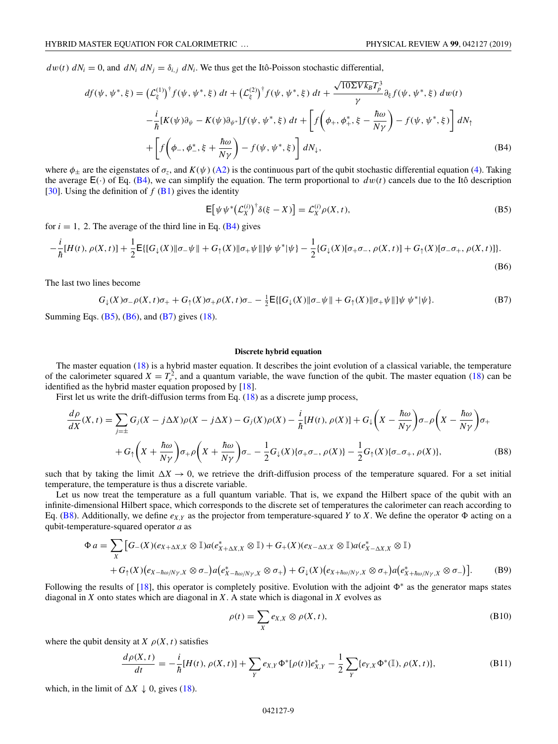$dw(t)$   $dN_i = 0$ , and  $dN_i$   $dN_j = \delta_{i,j} dN_i$ . We thus get the Itô-Poisson stochastic differential,

$$
df(\psi, \psi^*, \xi) = \left(\mathcal{L}_{\xi}^{(1)}\right)^{\dagger} f(\psi, \psi^*, \xi) dt + \left(\mathcal{L}_{\xi}^{(2)}\right)^{\dagger} f(\psi, \psi^*, \xi) dt + \frac{\sqrt{10\Sigma V k_B} T_p^3}{\gamma} \partial_{\xi} f(\psi, \psi^*, \xi) dw(t)
$$

$$
-\frac{i}{\hbar} [K(\psi)\partial_{\psi} - K(\psi)\partial_{\psi^*}] f(\psi, \psi^*, \xi) dt + \left[ f\left(\phi_+, \phi_+, \xi - \frac{\hbar \omega}{N\gamma}\right) - f(\psi, \psi^*, \xi) \right] dN_{\uparrow}
$$

$$
+ \left[ f\left(\phi_-, \phi_-, \xi + \frac{\hbar \omega}{N\gamma}\right) - f(\psi, \psi^*, \xi) \right] dN_{\downarrow}, \tag{B4}
$$

where  $\phi_{\pm}$  are the eigenstates of  $\sigma_z$ , and  $K(\psi)$  [\(A2\)](#page-8-0) is the continuous part of the qubit stochastic differential equation [\(4\)](#page-2-0). Taking the average  $E(\cdot)$  of Eq. (B4), we can simplify the equation. The term proportional to  $dw(t)$  cancels due to the Itô description [\[30\]](#page-11-0). Using the definition of  $f$  [\(B1\)](#page-8-0) gives the identity

$$
\mathsf{E}\big[\psi\,\psi^*\big(\mathcal{L}_X^{(i)}\big)^\dagger\delta(\xi-X)\big] = \mathcal{L}_X^{(i)}\rho(X,t),\tag{B5}
$$

for  $i = 1$ , 2. The average of the third line in Eq. ( $\overline{B4}$ ) gives

$$
-\frac{i}{\hbar}[H(t),\rho(X,t)]+\frac{1}{2}\mathsf{E}\{[G_{\downarrow}(X)\|\sigma_{-}\psi\|+G_{\uparrow}(X)\|\sigma_{+}\psi\|]\psi\,\psi^{*}|\psi\}-\frac{1}{2}\{G_{\downarrow}(X)[\sigma_{+}\sigma_{-},\rho(X,t)]+G_{\uparrow}(X)[\sigma_{-}\sigma_{+},\rho(X,t)]\}.
$$
\n(B6)

The last two lines become

$$
G_{\downarrow}(X)\sigma_{-}\rho(X,t)\sigma_{+} + G_{\uparrow}(X)\sigma_{+}\rho(X,t)\sigma_{-} - \frac{1}{2}E\{ [G_{\downarrow}(X)\|\sigma_{-}\psi\| + G_{\uparrow}(X)\|\sigma_{+}\psi\| ] \psi \psi^{*}|\psi\}.
$$
 (B7)

Summing Eqs.  $(B5)$ ,  $(B6)$ , and  $(B7)$  gives  $(18)$ .

#### **Discrete hybrid equation**

The master equation [\(18\)](#page-3-0) is a hybrid master equation. It describes the joint evolution of a classical variable, the temperature of the calorimeter squared  $X = T_e^2$ , and a quantum variable, the wave function of the qubit. The master equation [\(18\)](#page-3-0) can be identified as the hybrid master equation proposed by [\[18\]](#page-11-0).

First let us write the drift-diffusion terms from Eq. [\(18\)](#page-3-0) as a discrete jump process,

$$
\frac{d\rho}{dX}(X,t) = \sum_{j=\pm} G_j(X-j\Delta X)\rho(X-j\Delta X) - G_j(X)\rho(X) - \frac{i}{\hbar}[H(t),\rho(X)] + G_{\downarrow}\left(X - \frac{\hbar\omega}{N\gamma}\right)\sigma_{-\rho}\left(X - \frac{\hbar\omega}{N\gamma}\right)\sigma_{+}
$$

$$
+ G_{\uparrow}\left(X + \frac{\hbar\omega}{N\gamma}\right)\sigma_{+\rho}\left(X + \frac{\hbar\omega}{N\gamma}\right)\sigma_{-} - \frac{1}{2}G_{\downarrow}(X)\{\sigma_{+\sigma_{-}},\rho(X)\} - \frac{1}{2}G_{\uparrow}(X)\{\sigma_{-\sigma_{+}},\rho(X)\},\tag{B8}
$$

such that by taking the limit  $\Delta X \to 0$ , we retrieve the drift-diffusion process of the temperature squared. For a set initial temperature, the temperature is thus a discrete variable.

Let us now treat the temperature as a full quantum variable. That is, we expand the Hilbert space of the qubit with an infinite-dimensional Hilbert space, which corresponds to the discrete set of temperatures the calorimeter can reach according to Eq. (B8). Additionally, we define  $e_{X,Y}$  as the projector from temperature-squared *Y* to *X*. We define the operator  $\Phi$  acting on a qubit-temperature-squared operator *a* as

$$
\Phi a = \sum_{X} \left[ G_{-}(X)(e_{X+\Delta X,X} \otimes \mathbb{I}) a(e_{X+\Delta X,X}^{*} \otimes \mathbb{I}) + G_{+}(X)(e_{X-\Delta X,X} \otimes \mathbb{I}) a(e_{X-\Delta X,X}^{*} \otimes \mathbb{I}) \right. \\
\left. + G_{\uparrow}(X)(e_{X-\hbar\omega/N\gamma,X} \otimes \sigma_{-}) a(e_{X-\hbar\omega/N\gamma,X}^{*} \otimes \sigma_{+}) + G_{\downarrow}(X)(e_{X+\hbar\omega/N\gamma,X} \otimes \sigma_{+}) a(e_{X+\hbar\omega/N\gamma,X}^{*} \otimes \sigma_{-}) \right].
$$
\n(B9)

Following the results of [\[18\]](#page-11-0), this operator is completely positive. Evolution with the adjoint  $\Phi^*$  as the generator maps states diagonal in *X* onto states which are diagonal in *X*. A state which is diagonal in *X* evolves as

$$
\rho(t) = \sum_{X} e_{X,X} \otimes \rho(X,t), \tag{B10}
$$

where the qubit density at *X*  $\rho(X, t)$  satisfies

$$
\frac{d\rho(X,t)}{dt} = -\frac{i}{\hbar}[H(t),\rho(X,t)] + \sum_{Y} e_{X,Y} \Phi^*[\rho(t)] e^*_{X,Y} - \frac{1}{2} \sum_{Y} \{e_{Y,X} \Phi^*(\mathbb{I}),\rho(X,t)\},\tag{B11}
$$

which, in the limit of  $\Delta X \downarrow 0$ , gives [\(18\)](#page-3-0).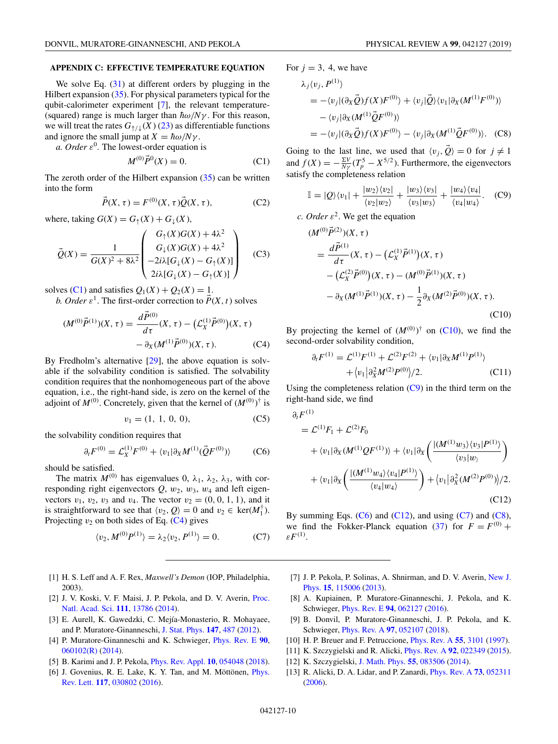## <span id="page-10-0"></span>**APPENDIX C: EFFECTIVE TEMPERATURE EQUATION**

We solve Eq.  $(31)$  at different orders by plugging in the Hilbert expansion [\(35\)](#page-4-0). For physical parameters typical for the qubit-calorimeter experiment [7], the relevant temperature- (squared) range is much larger than  $\hbar \omega / N \gamma$ . For this reason, we will treat the rates  $G_{\uparrow/\downarrow}(X)$  [\(23\)](#page-4-0) as differentiable functions and ignore the small jump at  $X = \hbar \omega / N \gamma$ .

*a. Order*  $\varepsilon^0$ . The lowest-order equation is

$$
M^{(0)}\vec{P}^0(X) = 0.
$$
 (C1)

The zeroth order of the Hilbert expansion  $(35)$  can be written into the form

$$
\vec{P}(X,\tau) = F^{(0)}(X,\tau)\vec{Q}(X,\tau),
$$
 (C2)

where, taking  $G(X) = G_{\uparrow}(X) + G_{\perp}(X)$ ,

$$
\vec{Q}(X) = \frac{1}{G(X)^2 + 8\lambda^2} \begin{pmatrix} G_{\uparrow}(X)G(X) + 4\lambda^2 \\ G_{\downarrow}(X)G(X) + 4\lambda^2 \\ -2i\lambda[G_{\downarrow}(X) - G_{\uparrow}(X)] \\ 2i\lambda[G_{\downarrow}(X) - G_{\uparrow}(X)] \end{pmatrix}
$$
 (C3)

solves (C1) and satisfies  $Q_1(X) + Q_2(X) = 1$ .

*b. Order*  $\varepsilon^1$ . The first-order correction to  $P(X, t)$  solves

$$
(M^{(0)}\vec{P}^{(1)})(X,\tau) = \frac{d\vec{P}^{(0)}}{d\tau}(X,\tau) - (\mathcal{L}_X^{(1)}\vec{P}^{(0)})(X,\tau) - \partial_X(M^{(1)}\vec{P}^{(0)})(X,\tau). \tag{C4}
$$

By Fredholm's alternative [\[29\]](#page-11-0), the above equation is solvable if the solvability condition is satisfied. The solvability condition requires that the nonhomogeneous part of the above equation, i.e., the right-hand side, is zero on the kernel of the adjoint of  $M^{(0)}$ . Concretely, given that the kernel of  $(M^{(0)})^{\dagger}$  is

$$
v_1 = (1, 1, 0, 0), \tag{C5}
$$

the solvability condition requires that

$$
\partial_t F^{(0)} = \mathcal{L}_X^{(1)} F^{(0)} + \langle v_1 | \partial_X M^{(1)}(\vec{Q} F^{(0)}) \rangle \tag{C6}
$$

should be satisfied.

The matrix  $M^{(0)}$  has eigenvalues 0,  $\lambda_1$ ,  $\lambda_2$ ,  $\lambda_3$ , with corresponding right eigenvectors  $Q$ ,  $w_2$ ,  $w_3$ ,  $w_4$  and left eigenvectors  $v_1$ ,  $v_2$ ,  $v_3$  and  $v_4$ . The vector  $v_2 = (0, 0, 1, 1)$ , and it is straightforward to see that  $\langle v_2, Q \rangle = 0$  and  $v_2 \in \text{ker}(M_1^{\dagger})$ . Projecting  $v_2$  on both sides of Eq. ( $C4$ ) gives

$$
\langle v_2, M^{(0)} P^{(1)} \rangle = \lambda_2 \langle v_2, P^{(1)} \rangle = 0. \tag{C7}
$$

- [1] H. S. Leff and A. F. Rex, *Maxwell's Demon* (IOP, Philadelphia, 2003).
- [2] [J. V. Koski, V. F. Maisi, J. P. Pekola, and D. V. Averin,](https://doi.org/10.1073/pnas.1406966111) Proc. Natl. Acad. Sci. **[111](https://doi.org/10.1073/pnas.1406966111)**, [13786](https://doi.org/10.1073/pnas.1406966111) [\(2014\)](https://doi.org/10.1073/pnas.1406966111).
- [3] E. Aurell, K. Gawedzki, C. Mejía-Monasterio, R. Mohayaee, and P. Muratore-Ginanneschi, [J. Stat. Phys.](https://doi.org/10.1007/s10955-012-0478-x) **[147](https://doi.org/10.1007/s10955-012-0478-x)**, [487](https://doi.org/10.1007/s10955-012-0478-x) [\(2012\)](https://doi.org/10.1007/s10955-012-0478-x).
- [4] P. Muratore-Ginanneschi and K. Schwieger, [Phys. Rev. E](https://doi.org/10.1103/PhysRevE.90.060102) **[90](https://doi.org/10.1103/PhysRevE.90.060102)**, [060102\(R\)](https://doi.org/10.1103/PhysRevE.90.060102) [\(2014\)](https://doi.org/10.1103/PhysRevE.90.060102).
- [5] B. Karimi and J. P. Pekola, [Phys. Rev. Appl.](https://doi.org/10.1103/PhysRevApplied.10.054048) **[10](https://doi.org/10.1103/PhysRevApplied.10.054048)**, [054048](https://doi.org/10.1103/PhysRevApplied.10.054048) [\(2018\)](https://doi.org/10.1103/PhysRevApplied.10.054048).
- [6] [J. Govenius, R. E. Lake, K. Y. Tan, and M. Möttönen,](https://doi.org/10.1103/PhysRevLett.117.030802) *Phys.* Rev. Lett. **[117](https://doi.org/10.1103/PhysRevLett.117.030802)**, [030802](https://doi.org/10.1103/PhysRevLett.117.030802) [\(2016\)](https://doi.org/10.1103/PhysRevLett.117.030802).

For  $j = 3, 4$ , we have

$$
\lambda_j \langle v_j, P^{(1)} \rangle
$$
  
= -\langle v\_j | (\partial\_X \vec{Q}) f(X) F^{(0)} \rangle + \langle v\_j | \vec{Q} \rangle \langle v\_1 | \partial\_X (M^{(1)} F^{(0)}) \rangle  
- \langle v\_j | \partial\_X (M^{(1)} \vec{Q} F^{(0)}) \rangle  
= -\langle v\_j | (\partial\_X \vec{Q}) f(X) F^{(0)} \rangle - \langle v\_j | \partial\_X (M^{(1)} \vec{Q} F^{(0)}) \rangle. (C8)

Going to the last line, we used that  $\langle v_j, \vec{Q} \rangle = 0$  for  $j \neq 1$ and  $f(X) = -\frac{\Sigma V}{N\gamma} (T_p^5 - X^{5/2})$ . Furthermore, the eigenvectors satisfy the completeness relation

$$
\mathbb{I} = |Q\rangle\langle v_1| + \frac{|w_2\rangle\langle v_2|}{\langle v_2|w_2\rangle} + \frac{|w_3\rangle\langle v_3|}{\langle v_3|w_3\rangle} + \frac{|w_4\rangle\langle v_4|}{\langle v_4|w_4\rangle}.
$$
 (C9)

*c. Order*  $\varepsilon^2$ . We get the equation

$$
(M^{(0)}\vec{P}^{(2)})(X,\tau)
$$
  
= 
$$
\frac{d\vec{P}^{(1)}}{d\tau}(X,\tau) - (\mathcal{L}_X^{(1)}\vec{P}^{(1)})(X,\tau)
$$
  
- 
$$
(\mathcal{L}_X^{(2)}\vec{P}^{(0)})(X,\tau) - (M^{(0)}\vec{P}^{(1)})(X,\tau)
$$
  
- 
$$
\partial_X(M^{(1)}\vec{P}^{(1)})(X,\tau) - \frac{1}{2}\partial_X(M^{(2)}\vec{P}^{(0)})(X,\tau).
$$
 (C10)

By projecting the kernel of  $(M^{(0)})^{\dagger}$  on (C10), we find the second-order solvability condition,

$$
\partial_t F^{(1)} = \mathcal{L}^{(1)} F^{(1)} + \mathcal{L}^{(2)} F^{(2)} + \langle v_1 | \partial_X M^{(1)} P^{(1)} \rangle + \langle v_1 | \partial_X^2 M^{(2)} P^{(0)} \rangle / 2.
$$
 (C11)

Using the completeness relation  $(C9)$  in the third term on the right-hand side, we find

$$
\partial_t F^{(1)} = \mathcal{L}^{(1)} F_1 + \mathcal{L}^{(2)} F_0
$$
  
+  $\langle v_1 | \partial_X (M^{(1)} Q F^{(1)}) \rangle + \langle v_1 | \partial_X \left( \frac{| (M^{(1)} w_3) \langle v_3 | P^{(1)} \rangle}{\langle v_3 | w \rangle} \right)$   
+  $\langle v_1 | \partial_X \left( \frac{| (M^{(1)} w_4) \langle v_4 | P^{(1)} \rangle}{\langle v_4 | w_4 \rangle} \right) + \langle v_1 | \partial_X^2 (M^{(2)} P^{(0)}) \rangle / 2.$   
(C12)

By summing Eqs.  $(C6)$  and  $(C12)$ , and using  $(C7)$  and  $(C8)$ , we find the Fokker-Planck equation [\(37\)](#page-5-0) for  $F = F^{(0)} +$  $\varepsilon F^{(1)}$ .

- [7] [J. P. Pekola, P. Solinas, A. Shnirman, and D. V. Averin,](https://doi.org/10.1088/1367-2630/15/11/115006) New J. Phys. **[15](https://doi.org/10.1088/1367-2630/15/11/115006)**, [115006](https://doi.org/10.1088/1367-2630/15/11/115006) [\(2013\)](https://doi.org/10.1088/1367-2630/15/11/115006).
- [8] A. Kupiainen, P. Muratore-Ginanneschi, J. Pekola, and K. Schwieger, [Phys. Rev. E](https://doi.org/10.1103/PhysRevE.94.062127) **[94](https://doi.org/10.1103/PhysRevE.94.062127)**, [062127](https://doi.org/10.1103/PhysRevE.94.062127) [\(2016\)](https://doi.org/10.1103/PhysRevE.94.062127).
- [9] B. Donvil, P. Muratore-Ginanneschi, J. P. Pekola, and K. Schwieger, [Phys. Rev. A](https://doi.org/10.1103/PhysRevA.97.052107) **[97](https://doi.org/10.1103/PhysRevA.97.052107)**, [052107](https://doi.org/10.1103/PhysRevA.97.052107) [\(2018\)](https://doi.org/10.1103/PhysRevA.97.052107).
- [10] H. P. Breuer and F. Petruccione, [Phys. Rev. A](https://doi.org/10.1103/PhysRevA.55.3101) **[55](https://doi.org/10.1103/PhysRevA.55.3101)**, [3101](https://doi.org/10.1103/PhysRevA.55.3101) [\(1997\)](https://doi.org/10.1103/PhysRevA.55.3101).
- [11] K. Szczygielski and R. Alicki, [Phys. Rev. A](https://doi.org/10.1103/PhysRevA.92.022349) **[92](https://doi.org/10.1103/PhysRevA.92.022349)**, [022349](https://doi.org/10.1103/PhysRevA.92.022349) [\(2015\)](https://doi.org/10.1103/PhysRevA.92.022349).
- [12] K. Szczygielski, [J. Math. Phys.](https://doi.org/10.1063/1.4891401) **[55](https://doi.org/10.1063/1.4891401)**, [083506](https://doi.org/10.1063/1.4891401) [\(2014\)](https://doi.org/10.1063/1.4891401).
- [13] R. Alicki, D. A. Lidar, and P. Zanardi, [Phys. Rev. A](https://doi.org/10.1103/PhysRevA.73.052311) **[73](https://doi.org/10.1103/PhysRevA.73.052311)**, [052311](https://doi.org/10.1103/PhysRevA.73.052311) [\(2006\)](https://doi.org/10.1103/PhysRevA.73.052311).